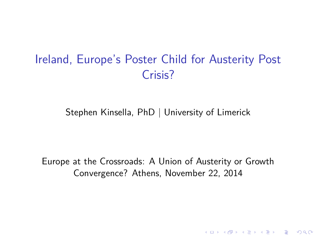## Ireland, Europe's Poster Child for Austerity Post Crisis?

Stephen Kinsella, PhD | University of Limerick

Europe at the Crossroads: A Union of Austerity or Growth Convergence? Athens, November 22, 2014

KELK KØLK VELKEN EL 1990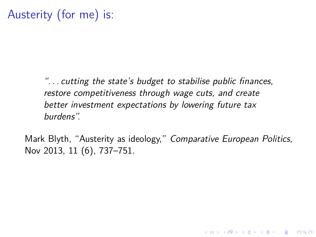# Austerity (for me) is:

". . . cutting the state's budget to stabilise public finances, restore competitiveness through wage cuts, and create better investment expectations by lowering future tax burdens".

Mark Blyth, "Austerity as ideology," Comparative European Politics, Nov 2013, 11 (6), 737–751.

**KORKARYKERKER POLO**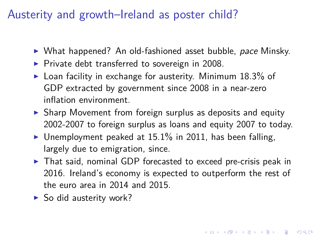### Austerity and growth–Ireland as poster child?

- $\triangleright$  What happened? An old-fashioned asset bubble, pace Minsky.
- $\blacktriangleright$  Private debt transferred to sovereign in 2008.
- $\triangleright$  Loan facility in exchange for austerity. Minimum 18.3% of GDP extracted by government since 2008 in a near-zero inflation environment.
- $\triangleright$  Sharp Movement from foreign surplus as deposits and equity 2002-2007 to foreign surplus as loans and equity 2007 to today.
- $\triangleright$  Unemployment peaked at 15.1% in 2011, has been falling, largely due to emigration, since.
- $\triangleright$  That said, nominal GDP forecasted to exceed pre-crisis peak in 2016. Ireland's economy is expected to outperform the rest of the euro area in 2014 and 2015.

4 0 > 4 4 + 4 = + 4 = + = + + 0 4 0 +

 $\triangleright$  So did austerity work?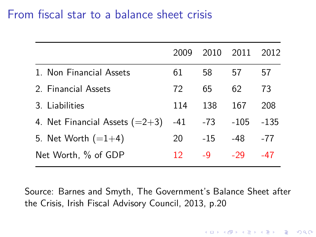### From fiscal star to a balance sheet crisis

|                                  | 2009 | 2010  | 2011  | 2012   |
|----------------------------------|------|-------|-------|--------|
| 1. Non Financial Assets          | 61   | 58    | 57    | 57     |
| 2. Financial Assets              | 72   | 65    | 62    | 73     |
| 3. Liabilities                   | 114  | 138   | 167   | 208    |
| 4. Net Financial Assets $(=2+3)$ | -41  | -73   | -105  | $-135$ |
| 5. Net Worth $(=1+4)$            | 20   | $-15$ | -48   | $-77$  |
| Net Worth, % of GDP              | 12   | -9    | $-29$ | -47    |

Source: Barnes and Smyth, The Government's Balance Sheet after the Crisis, Irish Fiscal Advisory Council, 2013, p.20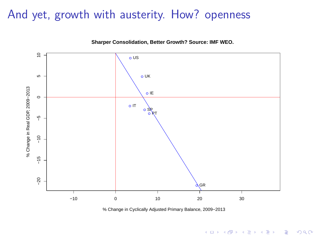#### And yet, growth with austerity. How? openness



**Sharper Consolidation, Better Growth? Source: IMF WEO.** 

% Change in Cyclically Adjusted Primary Balance, 2009−2013

K ロ ▶ K 個 ▶ K 할 ▶ K 할 ▶ 이 할 → 이익 @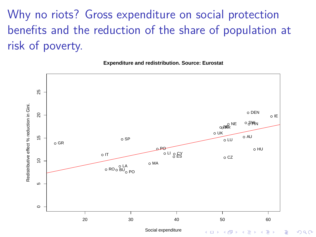Why no riots? Gross expenditure on social protection benefits and the reduction of the share of population at risk of poverty.



 $299$ 

**Expenditure and redistribution. Source: Eurostat**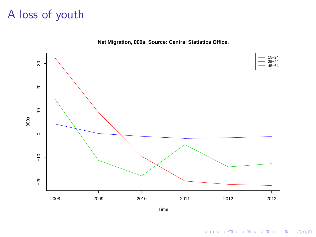## A loss of youth

**Net Migration, 000s. Source: Central Statistics Office.**



Time

**Kロトメ部トメミトメミト ミニのQC**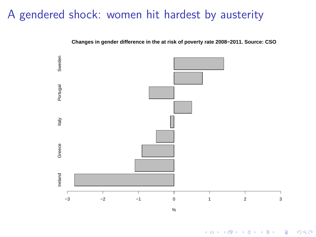### A gendered shock: women hit hardest by austerity



**Changes in gender difference in the at risk of poverty rate 2008−2011. Source: CSO**

 $\frac{1}{2}$ 

K ロ ▶ K @ ▶ K 할 ▶ K 할 ▶ . 할 . K 9 Q @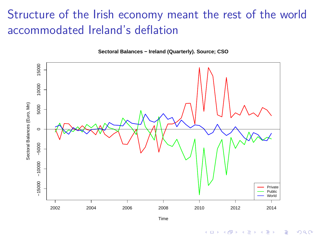# Structure of the Irish economy meant the rest of the world accommodated Ireland's deflation



**Sectoral Balances − Ireland (Quarterly). Source; CSO**

Time

 $4$  ロ )  $4$  何 )  $4$  ヨ )  $4$  ヨ )

Ğ,

 $2990$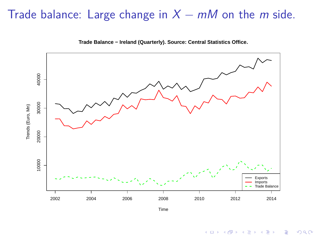### Trade balance: Large change in  $X - mM$  on the m side.



**Trade Balance − Ireland (Quarterly). Source: Central Statistics Office.**

 $4$  ロ )  $4$   $\overline{r}$  )  $4$   $\overline{z}$  )  $4$   $\overline{z}$  )  $\equiv$  $299$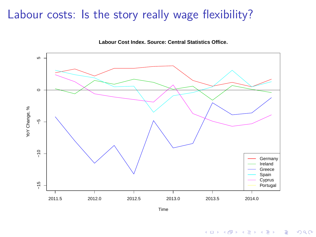#### Labour costs: Is the story really wage flexibility?



**Labour Cost Index. Source: Central Statistics Office.**

Time

K ロ ▶ K 個 ▶ K 할 ▶ K 할 ▶ ( 할 → ) 익 Q Q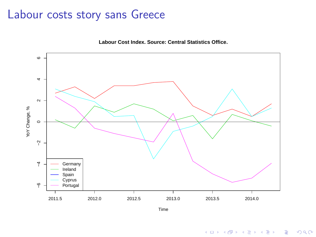#### Labour costs story sans Greece



**Labour Cost Index. Source: Central Statistics Office.**

Time

K ロ ▶ K @ ▶ K 할 ▶ K 할 ▶ | 할 | © 9 Q @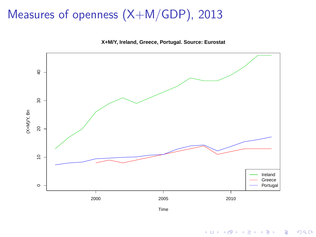# Measures of openness (X+M/GDP), 2013





Time

K ロ ▶ K 個 ▶ K 할 ▶ K 할 ▶ ( 할 → ) 익 Q Q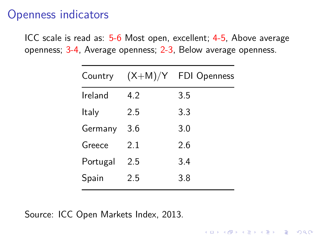#### Openness indicators

ICC scale is read as: 5-6 Most open, excellent; 4-5, Above average openness; 3-4, Average openness; 2-3, Below average openness.

| Country  |     | $(X+M)/Y$ FDI Openness |
|----------|-----|------------------------|
| Ireland  | 42  | 3.5                    |
| Italy    | 2.5 | 3.3                    |
| Germany  | 3.6 | 3.0                    |
| Greece   | 2.1 | 2.6                    |
| Portugal | 2.5 | 3.4                    |
| Spain    | 2.5 | 3.8                    |

**KORK ERKER ADAM ADA** 

Source: ICC Open Markets Index, 2013.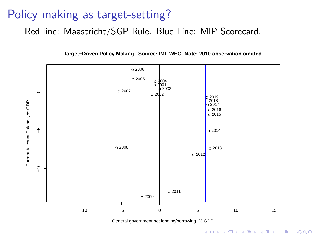### Policy making as target-setting?

Red line: Maastricht/SGP Rule. Blue Line: MIP Scorecard.



**Target−Driven Policy Making. Source: IMF WEO. Note: 2010 observation omitted.**

General government net lending/borrowing, % GDP.

**KORK EXTERNE PROVIDE**